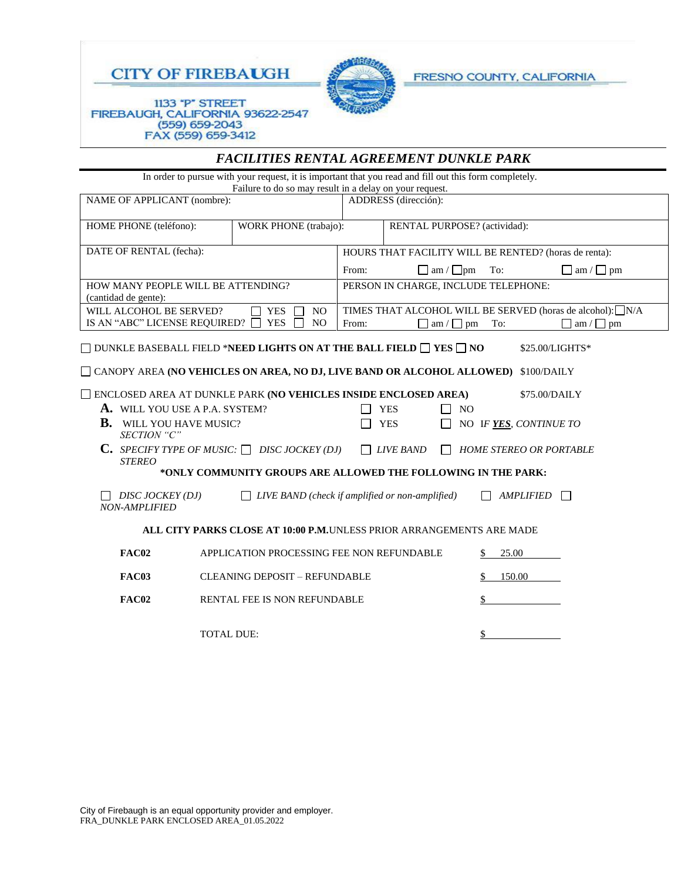



*FACILITIES RENTAL AGREEMENT DUNKLE PARK* 

FRESNO COUNTY, CALIFORNIA

## 1133 "P" STREET FIREBAUGH, CALIFORNIA 93622-2547 (559) 659-2043<br>FAX (559) 659-3412

| In order to pursue with your request, it is important that you read and fill out this form completely.<br>Failure to do so may result in a delay on your request.                                                                                                                                                                                                                                                                                                                                                                                                                                                                                                                                                                                                                |  |                                                                |                              |        |                                                                             |
|----------------------------------------------------------------------------------------------------------------------------------------------------------------------------------------------------------------------------------------------------------------------------------------------------------------------------------------------------------------------------------------------------------------------------------------------------------------------------------------------------------------------------------------------------------------------------------------------------------------------------------------------------------------------------------------------------------------------------------------------------------------------------------|--|----------------------------------------------------------------|------------------------------|--------|-----------------------------------------------------------------------------|
| NAME OF APPLICANT (nombre):                                                                                                                                                                                                                                                                                                                                                                                                                                                                                                                                                                                                                                                                                                                                                      |  | ADDRESS (dirección):                                           |                              |        |                                                                             |
| HOME PHONE (teléfono):<br>WORK PHONE (trabajo):                                                                                                                                                                                                                                                                                                                                                                                                                                                                                                                                                                                                                                                                                                                                  |  |                                                                | RENTAL PURPOSE? (actividad): |        |                                                                             |
| DATE OF RENTAL (fecha):                                                                                                                                                                                                                                                                                                                                                                                                                                                                                                                                                                                                                                                                                                                                                          |  | HOURS THAT FACILITY WILL BE RENTED? (horas de renta):          |                              |        |                                                                             |
|                                                                                                                                                                                                                                                                                                                                                                                                                                                                                                                                                                                                                                                                                                                                                                                  |  | $\Box$ am / $\Box$ pm<br>From:<br>To:<br>$\Box$ am / $\Box$ pm |                              |        |                                                                             |
| HOW MANY PEOPLE WILL BE ATTENDING?<br>(cantidad de gente):                                                                                                                                                                                                                                                                                                                                                                                                                                                                                                                                                                                                                                                                                                                       |  | PERSON IN CHARGE, INCLUDE TELEPHONE:                           |                              |        |                                                                             |
| WILL ALCOHOL BE SERVED?<br><b>YES</b><br>N <sub>O</sub><br>IS AN "ABC" LICENSE REQUIRED?<br><b>YES</b><br>N <sub>O</sub>                                                                                                                                                                                                                                                                                                                                                                                                                                                                                                                                                                                                                                                         |  |                                                                | ΓI<br>$am / \Box$ pm         | To:    | TIMES THAT ALCOHOL WILL BE SERVED (horas de alcohol): N/A<br>am / $\Box$ pm |
| $\Box$ dunkle baseball field *need lights on at the ball field $\Box$ yes $\Box$ no<br>\$25.00/LIGHTS*<br>$\Box$ CANOPY AREA (NO VEHICLES ON AREA, NO DJ, LIVE BAND OR ALCOHOL ALLOWED)<br>\$100/DAILY<br>ENCLOSED AREA AT DUNKLE PARK (NO VEHICLES INSIDE ENCLOSED AREA)<br>\$75.00/DAILY<br>A. WILL YOU USE A P.A. SYSTEM?<br><b>YES</b><br>$\Box$ NO<br><b>B.</b> WILL YOU HAVE MUSIC?<br><b>YES</b><br>NO IF YES, CONTINUE TO<br>SECTION "C"<br>C. SPECIFY TYPE OF MUSIC: $\Box$ DISC JOCKEY (DJ)<br><b>LIVE BAND</b><br><b>HOME STEREO OR PORTABLE</b><br><b>STEREO</b><br>*ONLY COMMUNITY GROUPS ARE ALLOWED THE FOLLOWING IN THE PARK:<br>DISC JOCKEY (DJ)<br>LIVE BAND (check if amplified or non-amplified)<br><b>AMPLIFIED</b><br>$\mathbf{L}$<br><b>NON-AMPLIFIED</b> |  |                                                                |                              |        |                                                                             |
| ALL CITY PARKS CLOSE AT 10:00 P.M.UNLESS PRIOR ARRANGEMENTS ARE MADE                                                                                                                                                                                                                                                                                                                                                                                                                                                                                                                                                                                                                                                                                                             |  |                                                                |                              |        |                                                                             |
| FAC02<br>APPLICATION PROCESSING FEE NON REFUNDABLE                                                                                                                                                                                                                                                                                                                                                                                                                                                                                                                                                                                                                                                                                                                               |  |                                                                |                              | 25.00  |                                                                             |
| <b>FAC03</b><br><b>CLEANING DEPOSIT - REFUNDABLE</b>                                                                                                                                                                                                                                                                                                                                                                                                                                                                                                                                                                                                                                                                                                                             |  |                                                                |                              | 150.00 |                                                                             |
| FAC02<br><b>RENTAL FEE IS NON REFUNDABLE</b>                                                                                                                                                                                                                                                                                                                                                                                                                                                                                                                                                                                                                                                                                                                                     |  |                                                                |                              |        |                                                                             |

TOTAL DUE: